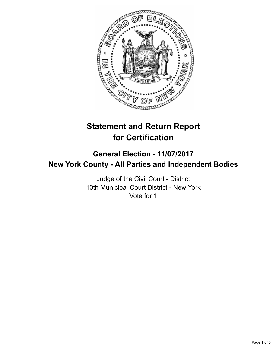

# **Statement and Return Report for Certification**

## **General Election - 11/07/2017 New York County - All Parties and Independent Bodies**

Judge of the Civil Court - District 10th Municipal Court District - New York Vote for 1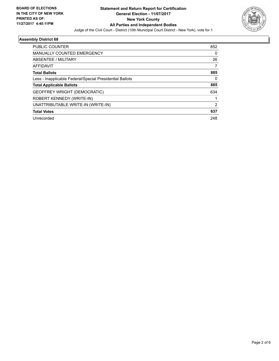

#### **Assembly District 68**

| 852 |
|-----|
| 0   |
| 26  |
| 7   |
| 885 |
| 0   |
| 885 |
| 634 |
|     |
| 2   |
| 637 |
| 248 |
|     |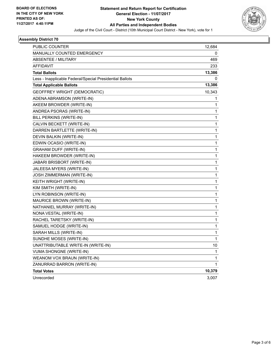

#### **Assembly District 70**

| PUBLIC COUNTER                                           | 12,684 |
|----------------------------------------------------------|--------|
| <b>MANUALLY COUNTED EMERGENCY</b>                        | 0      |
| <b>ABSENTEE / MILITARY</b>                               | 469    |
| AFFIDAVIT                                                | 233    |
| <b>Total Ballots</b>                                     | 13,386 |
| Less - Inapplicable Federal/Special Presidential Ballots | 0      |
| <b>Total Applicable Ballots</b>                          | 13,386 |
| <b>GEOFFREY WRIGHT (DEMOCRATIC)</b>                      | 10,343 |
| ADENA ABRAMSON (WRITE-IN)                                | 1      |
| AKEEM BROWDER (WRITE-IN)                                 | 1      |
| ANDREA PSORAS (WRITE-IN)                                 | 1      |
| BILL PERKINS (WRITE-IN)                                  | 1      |
| CALVIN BECKETT (WRITE-IN)                                | 1      |
| DARREN BARTLETTE (WRITE-IN)                              | 1      |
| DEVIN BALKIN (WRITE-IN)                                  | 1      |
| EDWIN OCASIO (WRITE-IN)                                  | 1      |
| GRAHAM DUFF (WRITE-IN)                                   | 1      |
| HAKEEM BROWDER (WRITE-IN)                                | 1      |
| JABARI BRISBORT (WRITE-IN)                               | 1      |
| JALEESA MYERS (WRITE-IN)                                 | 1      |
| JOSH ZIMMERMAN (WRITE-IN)                                | 1      |
| KEITH WRIGHT (WRITE-IN)                                  | 1      |
| KIM SMITH (WRITE-IN)                                     | 1      |
| LYN ROBINSON (WRITE-IN)                                  | 1      |
| MAURICE BROWN (WRITE-IN)                                 | 1      |
| NATHANIEL MURRAY (WRITE-IN)                              | 1      |
| NONA VESTAL (WRITE-IN)                                   | 1      |
| RACHEL TARETSKY (WRITE-IN)                               | 1      |
| SAMUEL HODGE (WRITE-IN)                                  | 1      |
| SARAH MILLS (WRITE-IN)                                   | 1      |
| SUNDHE MOSES (WRITE-IN)                                  | 1      |
| UNATTRIBUTABLE WRITE-IN (WRITE-IN)                       | 10     |
| VUMA SHONGNE (WRITE-IN)                                  | 1      |
| WEANOM VOX BRAUN (WRITE-IN)                              | 1      |
| ZANURRAD BARRON (WRITE-IN)                               | 1      |
| <b>Total Votes</b>                                       | 10,379 |
| Unrecorded                                               | 3,007  |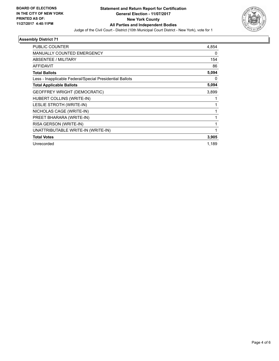

#### **Assembly District 71**

| <b>PUBLIC COUNTER</b>                                    | 4,854 |
|----------------------------------------------------------|-------|
| MANUALLY COUNTED EMERGENCY                               | 0     |
| ABSENTEE / MILITARY                                      | 154   |
| AFFIDAVIT                                                | 86    |
| <b>Total Ballots</b>                                     | 5,094 |
| Less - Inapplicable Federal/Special Presidential Ballots | 0     |
| <b>Total Applicable Ballots</b>                          | 5,094 |
| <b>GEOFFREY WRIGHT (DEMOCRATIC)</b>                      | 3,899 |
| HUBERT COLLINS (WRITE-IN)                                |       |
| LESLIE STROTH (WRITE-IN)                                 |       |
| NICHOLAS CAGE (WRITE-IN)                                 | 1     |
| PREET BHARARA (WRITE-IN)                                 | 1     |
| RISA GERSON (WRITE-IN)                                   |       |
| UNATTRIBUTABLE WRITE-IN (WRITE-IN)                       | 1     |
| <b>Total Votes</b>                                       | 3,905 |
| Unrecorded                                               | 1,189 |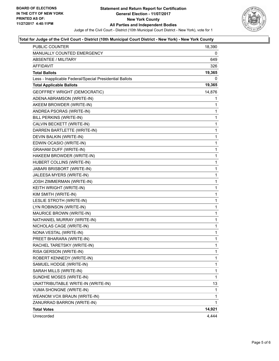

#### **Total for Judge of the Civil Court - District (10th Municipal Court District - New York) - New York County**

| 0<br><b>ABSENTEE / MILITARY</b><br>649<br><b>AFFIDAVIT</b><br>326<br>19,365<br><b>Total Ballots</b><br>Less - Inapplicable Federal/Special Presidential Ballots<br>0<br>19,365<br><b>Total Applicable Ballots</b><br>14,876<br>GEOFFREY WRIGHT (DEMOCRATIC)<br>ADENA ABRAMSON (WRITE-IN)<br>1<br>AKEEM BROWDER (WRITE-IN)<br>1<br>1<br>ANDREA PSORAS (WRITE-IN)<br>BILL PERKINS (WRITE-IN)<br>1<br>CALVIN BECKETT (WRITE-IN)<br>1<br>1<br>DARREN BARTLETTE (WRITE-IN)<br>DEVIN BALKIN (WRITE-IN)<br>1<br>EDWIN OCASIO (WRITE-IN)<br>1<br>1<br><b>GRAHAM DUFF (WRITE-IN)</b><br>HAKEEM BROWDER (WRITE-IN)<br>1<br>HUBERT COLLINS (WRITE-IN)<br>1<br>1<br>JABARI BRISBORT (WRITE-IN)<br>JALEESA MYERS (WRITE-IN)<br>1<br>JOSH ZIMMERMAN (WRITE-IN)<br>1<br>1<br>KEITH WRIGHT (WRITE-IN)<br>KIM SMITH (WRITE-IN)<br>1<br>LESLIE STROTH (WRITE-IN)<br>1<br>1<br>LYN ROBINSON (WRITE-IN)<br>MAURICE BROWN (WRITE-IN)<br>1<br>NATHANIEL MURRAY (WRITE-IN)<br>1<br>1<br>NICHOLAS CAGE (WRITE-IN)<br>NONA VESTAL (WRITE-IN)<br>1<br>1<br>PREET BHARARA (WRITE-IN)<br>$\mathbf{1}$<br>RACHEL TARETSKY (WRITE-IN)<br>RISA GERSON (WRITE-IN)<br>1<br>ROBERT KENNEDY (WRITE-IN)<br>1<br>1<br>SAMUEL HODGE (WRITE-IN)<br>SARAH MILLS (WRITE-IN)<br>1<br>SUNDHE MOSES (WRITE-IN)<br>1<br>UNATTRIBUTABLE WRITE-IN (WRITE-IN)<br>13<br><b>VUMA SHONGNE (WRITE-IN)</b><br>1<br>WEANOM VOX BRAUN (WRITE-IN)<br>1<br>ZANURRAD BARRON (WRITE-IN)<br>1<br>14,921<br><b>Total Votes</b><br>Unrecorded | <b>PUBLIC COUNTER</b><br><b>MANUALLY COUNTED EMERGENCY</b> | 18,390 |
|---------------------------------------------------------------------------------------------------------------------------------------------------------------------------------------------------------------------------------------------------------------------------------------------------------------------------------------------------------------------------------------------------------------------------------------------------------------------------------------------------------------------------------------------------------------------------------------------------------------------------------------------------------------------------------------------------------------------------------------------------------------------------------------------------------------------------------------------------------------------------------------------------------------------------------------------------------------------------------------------------------------------------------------------------------------------------------------------------------------------------------------------------------------------------------------------------------------------------------------------------------------------------------------------------------------------------------------------------------------------------------------------------------------------------------------------------------------------------------|------------------------------------------------------------|--------|
|                                                                                                                                                                                                                                                                                                                                                                                                                                                                                                                                                                                                                                                                                                                                                                                                                                                                                                                                                                                                                                                                                                                                                                                                                                                                                                                                                                                                                                                                                 |                                                            |        |
|                                                                                                                                                                                                                                                                                                                                                                                                                                                                                                                                                                                                                                                                                                                                                                                                                                                                                                                                                                                                                                                                                                                                                                                                                                                                                                                                                                                                                                                                                 |                                                            |        |
|                                                                                                                                                                                                                                                                                                                                                                                                                                                                                                                                                                                                                                                                                                                                                                                                                                                                                                                                                                                                                                                                                                                                                                                                                                                                                                                                                                                                                                                                                 |                                                            |        |
|                                                                                                                                                                                                                                                                                                                                                                                                                                                                                                                                                                                                                                                                                                                                                                                                                                                                                                                                                                                                                                                                                                                                                                                                                                                                                                                                                                                                                                                                                 |                                                            |        |
|                                                                                                                                                                                                                                                                                                                                                                                                                                                                                                                                                                                                                                                                                                                                                                                                                                                                                                                                                                                                                                                                                                                                                                                                                                                                                                                                                                                                                                                                                 |                                                            |        |
|                                                                                                                                                                                                                                                                                                                                                                                                                                                                                                                                                                                                                                                                                                                                                                                                                                                                                                                                                                                                                                                                                                                                                                                                                                                                                                                                                                                                                                                                                 |                                                            |        |
|                                                                                                                                                                                                                                                                                                                                                                                                                                                                                                                                                                                                                                                                                                                                                                                                                                                                                                                                                                                                                                                                                                                                                                                                                                                                                                                                                                                                                                                                                 |                                                            |        |
|                                                                                                                                                                                                                                                                                                                                                                                                                                                                                                                                                                                                                                                                                                                                                                                                                                                                                                                                                                                                                                                                                                                                                                                                                                                                                                                                                                                                                                                                                 |                                                            |        |
|                                                                                                                                                                                                                                                                                                                                                                                                                                                                                                                                                                                                                                                                                                                                                                                                                                                                                                                                                                                                                                                                                                                                                                                                                                                                                                                                                                                                                                                                                 |                                                            |        |
|                                                                                                                                                                                                                                                                                                                                                                                                                                                                                                                                                                                                                                                                                                                                                                                                                                                                                                                                                                                                                                                                                                                                                                                                                                                                                                                                                                                                                                                                                 |                                                            |        |
|                                                                                                                                                                                                                                                                                                                                                                                                                                                                                                                                                                                                                                                                                                                                                                                                                                                                                                                                                                                                                                                                                                                                                                                                                                                                                                                                                                                                                                                                                 |                                                            |        |
|                                                                                                                                                                                                                                                                                                                                                                                                                                                                                                                                                                                                                                                                                                                                                                                                                                                                                                                                                                                                                                                                                                                                                                                                                                                                                                                                                                                                                                                                                 |                                                            |        |
|                                                                                                                                                                                                                                                                                                                                                                                                                                                                                                                                                                                                                                                                                                                                                                                                                                                                                                                                                                                                                                                                                                                                                                                                                                                                                                                                                                                                                                                                                 |                                                            |        |
|                                                                                                                                                                                                                                                                                                                                                                                                                                                                                                                                                                                                                                                                                                                                                                                                                                                                                                                                                                                                                                                                                                                                                                                                                                                                                                                                                                                                                                                                                 |                                                            |        |
|                                                                                                                                                                                                                                                                                                                                                                                                                                                                                                                                                                                                                                                                                                                                                                                                                                                                                                                                                                                                                                                                                                                                                                                                                                                                                                                                                                                                                                                                                 |                                                            |        |
|                                                                                                                                                                                                                                                                                                                                                                                                                                                                                                                                                                                                                                                                                                                                                                                                                                                                                                                                                                                                                                                                                                                                                                                                                                                                                                                                                                                                                                                                                 |                                                            |        |
|                                                                                                                                                                                                                                                                                                                                                                                                                                                                                                                                                                                                                                                                                                                                                                                                                                                                                                                                                                                                                                                                                                                                                                                                                                                                                                                                                                                                                                                                                 |                                                            |        |
|                                                                                                                                                                                                                                                                                                                                                                                                                                                                                                                                                                                                                                                                                                                                                                                                                                                                                                                                                                                                                                                                                                                                                                                                                                                                                                                                                                                                                                                                                 |                                                            |        |
|                                                                                                                                                                                                                                                                                                                                                                                                                                                                                                                                                                                                                                                                                                                                                                                                                                                                                                                                                                                                                                                                                                                                                                                                                                                                                                                                                                                                                                                                                 |                                                            |        |
|                                                                                                                                                                                                                                                                                                                                                                                                                                                                                                                                                                                                                                                                                                                                                                                                                                                                                                                                                                                                                                                                                                                                                                                                                                                                                                                                                                                                                                                                                 |                                                            |        |
|                                                                                                                                                                                                                                                                                                                                                                                                                                                                                                                                                                                                                                                                                                                                                                                                                                                                                                                                                                                                                                                                                                                                                                                                                                                                                                                                                                                                                                                                                 |                                                            |        |
|                                                                                                                                                                                                                                                                                                                                                                                                                                                                                                                                                                                                                                                                                                                                                                                                                                                                                                                                                                                                                                                                                                                                                                                                                                                                                                                                                                                                                                                                                 |                                                            |        |
|                                                                                                                                                                                                                                                                                                                                                                                                                                                                                                                                                                                                                                                                                                                                                                                                                                                                                                                                                                                                                                                                                                                                                                                                                                                                                                                                                                                                                                                                                 |                                                            |        |
|                                                                                                                                                                                                                                                                                                                                                                                                                                                                                                                                                                                                                                                                                                                                                                                                                                                                                                                                                                                                                                                                                                                                                                                                                                                                                                                                                                                                                                                                                 |                                                            |        |
|                                                                                                                                                                                                                                                                                                                                                                                                                                                                                                                                                                                                                                                                                                                                                                                                                                                                                                                                                                                                                                                                                                                                                                                                                                                                                                                                                                                                                                                                                 |                                                            |        |
|                                                                                                                                                                                                                                                                                                                                                                                                                                                                                                                                                                                                                                                                                                                                                                                                                                                                                                                                                                                                                                                                                                                                                                                                                                                                                                                                                                                                                                                                                 |                                                            |        |
|                                                                                                                                                                                                                                                                                                                                                                                                                                                                                                                                                                                                                                                                                                                                                                                                                                                                                                                                                                                                                                                                                                                                                                                                                                                                                                                                                                                                                                                                                 |                                                            |        |
|                                                                                                                                                                                                                                                                                                                                                                                                                                                                                                                                                                                                                                                                                                                                                                                                                                                                                                                                                                                                                                                                                                                                                                                                                                                                                                                                                                                                                                                                                 |                                                            |        |
|                                                                                                                                                                                                                                                                                                                                                                                                                                                                                                                                                                                                                                                                                                                                                                                                                                                                                                                                                                                                                                                                                                                                                                                                                                                                                                                                                                                                                                                                                 |                                                            |        |
|                                                                                                                                                                                                                                                                                                                                                                                                                                                                                                                                                                                                                                                                                                                                                                                                                                                                                                                                                                                                                                                                                                                                                                                                                                                                                                                                                                                                                                                                                 |                                                            |        |
|                                                                                                                                                                                                                                                                                                                                                                                                                                                                                                                                                                                                                                                                                                                                                                                                                                                                                                                                                                                                                                                                                                                                                                                                                                                                                                                                                                                                                                                                                 |                                                            |        |
|                                                                                                                                                                                                                                                                                                                                                                                                                                                                                                                                                                                                                                                                                                                                                                                                                                                                                                                                                                                                                                                                                                                                                                                                                                                                                                                                                                                                                                                                                 |                                                            |        |
|                                                                                                                                                                                                                                                                                                                                                                                                                                                                                                                                                                                                                                                                                                                                                                                                                                                                                                                                                                                                                                                                                                                                                                                                                                                                                                                                                                                                                                                                                 |                                                            |        |
|                                                                                                                                                                                                                                                                                                                                                                                                                                                                                                                                                                                                                                                                                                                                                                                                                                                                                                                                                                                                                                                                                                                                                                                                                                                                                                                                                                                                                                                                                 |                                                            |        |
|                                                                                                                                                                                                                                                                                                                                                                                                                                                                                                                                                                                                                                                                                                                                                                                                                                                                                                                                                                                                                                                                                                                                                                                                                                                                                                                                                                                                                                                                                 |                                                            |        |
|                                                                                                                                                                                                                                                                                                                                                                                                                                                                                                                                                                                                                                                                                                                                                                                                                                                                                                                                                                                                                                                                                                                                                                                                                                                                                                                                                                                                                                                                                 |                                                            |        |
|                                                                                                                                                                                                                                                                                                                                                                                                                                                                                                                                                                                                                                                                                                                                                                                                                                                                                                                                                                                                                                                                                                                                                                                                                                                                                                                                                                                                                                                                                 |                                                            |        |
|                                                                                                                                                                                                                                                                                                                                                                                                                                                                                                                                                                                                                                                                                                                                                                                                                                                                                                                                                                                                                                                                                                                                                                                                                                                                                                                                                                                                                                                                                 |                                                            |        |
|                                                                                                                                                                                                                                                                                                                                                                                                                                                                                                                                                                                                                                                                                                                                                                                                                                                                                                                                                                                                                                                                                                                                                                                                                                                                                                                                                                                                                                                                                 |                                                            |        |
|                                                                                                                                                                                                                                                                                                                                                                                                                                                                                                                                                                                                                                                                                                                                                                                                                                                                                                                                                                                                                                                                                                                                                                                                                                                                                                                                                                                                                                                                                 |                                                            |        |
|                                                                                                                                                                                                                                                                                                                                                                                                                                                                                                                                                                                                                                                                                                                                                                                                                                                                                                                                                                                                                                                                                                                                                                                                                                                                                                                                                                                                                                                                                 |                                                            |        |
|                                                                                                                                                                                                                                                                                                                                                                                                                                                                                                                                                                                                                                                                                                                                                                                                                                                                                                                                                                                                                                                                                                                                                                                                                                                                                                                                                                                                                                                                                 |                                                            | 4,444  |